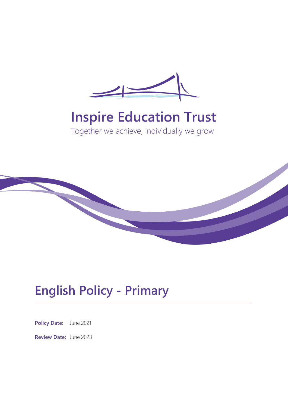

# **Inspire Education Trust**

Together we achieve, individually we grow



## **English Policy - Primary**

**Policy Date:** June 2021

**Review Date:** June 2023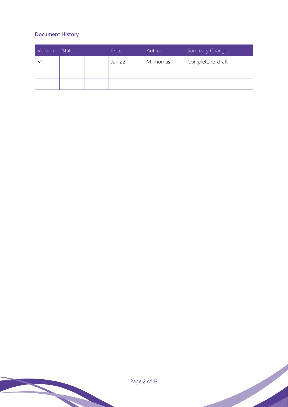## **Document History**

| Version | <b>Status</b> | Date   | Author   | <b>Summary Changes</b> |
|---------|---------------|--------|----------|------------------------|
|         |               | Jan 22 | M Thomas | Complete re-draft      |
|         |               |        |          |                        |
|         |               |        |          |                        |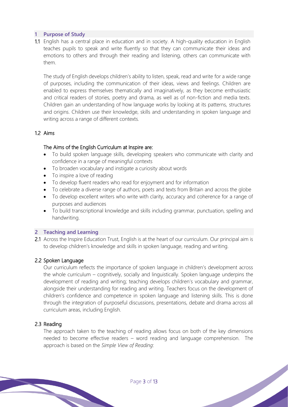## **1 Purpose of Study**

1.1 English has a central place in education and in society. A high-quality education in English teaches pupils to speak and write fluently so that they can communicate their ideas and emotions to others and through their reading and listening, others can communicate with them.

The study of English develops children's ability to listen, speak, read and write for a wide range of purposes, including the communication of their ideas, views and feelings. Children are enabled to express themselves thematically and imaginatively, as they become enthusiastic and critical readers of stories, poetry and drama, as well as of non-fiction and media texts. Children gain an understanding of how language works by looking at its patterns, structures and origins. Children use their knowledge, skills and understanding in spoken language and writing across a range of different contexts.

## 1.2 Aims

## The Aims of the English Curriculum at Inspire are:

- To build spoken language skills, developing speakers who communicate with clarity and confidence in a range of meaningful contexts
- To broaden vocabulary and instigate a curiosity about words
- To inspire a love of reading
- To develop fluent readers who read for enjoyment and for information
- To celebrate a diverse range of authors, poets and texts from Britain and across the globe
- To develop excellent writers who write with clarity, accuracy and coherence for a range of purposes and audiences
- To build transcriptional knowledge and skills including grammar, punctuation, spelling and handwriting.

#### **2 Teaching and Learning**

2.1 Across the Inspire Education Trust, English is at the heart of our curriculum. Our principal aim is to develop children's knowledge and skills in spoken language, reading and writing.

## 2.2 Spoken Language

Our curriculum reflects the importance of spoken language in children's development across the whole curriculum – cognitively, socially and linguistically. Spoken language underpins the development of reading and writing; teaching develops children's vocabulary and grammar, alongside their understanding for reading and writing. Teachers focus on the development of children's confidence and competence in spoken language and listening skills. This is done through the integration of purposeful discussions, presentations, debate and drama across all curriculum areas, including English.

## 2.3 Reading

The approach taken to the teaching of reading allows focus on both of the key dimensions needed to become effective readers – word reading and language comprehension. The approach is based on the *Simple View of Reading*: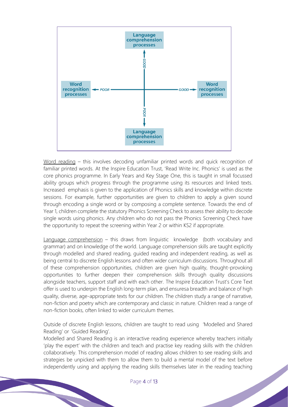

Word reading – this involves decoding unfamiliar printed words and quick recognition of familiar printed words. At the Inspire Education Trust, 'Read Write Inc. Phonics' is used as the core phonics programme. In Early Years and Key Stage One, this is taught in small focussed ability groups which progress through the programme using its resources and linked texts. Increased emphasis is given to the application of Phonics skills and knowledge within discrete sessions. For example, further opportunities are given to children to apply a given sound through encoding a single word or by composing a complete sentence. Towards the end of Year 1, children complete the statutory Phonics Screening Check to assess their ability to decode single words using phonics. Any children who do not pass the Phonics Screening Check have the opportunity to repeat the screening within Year 2 or within KS2 if appropriate.

Language comprehension – this draws from linguistic knowledge (both vocabulary and grammar) and on knowledge of the world. Language comprehension skills are taught explicitly through modelled and shared reading, guided reading and independent reading, as well as being central to discrete English lessons and often wider curriculum discussions. Throughout all of these comprehension opportunities, children are given high quality, thought-provoking opportunities to further deepen their comprehension skills through quality discussions alongside teachers, support staff and with each other. The Inspire Education Trust's Core Text offer is used to underpin the English long-term plan, and ensuresa breadth and balance of high quality, diverse, age-appropriate texts for our children. The children study a range of narrative, non-fiction and poetry which are contemporary and classic in nature. Children read a range of non-fiction books, often linked to wider curriculum themes.

Outside of discrete English lessons, children are taught to read using 'Modelled and Shared Reading' or 'Guided Reading'.

Modelled and Shared Reading is an interactive reading experience whereby teachers initially 'play the expert' with the children and teach and practise key reading skills with the children collaboratively. This comprehension model of reading allows children to see reading skills and strategies be unpicked with them to allow them to build a mental model of the text before independently using and applying the reading skills themselves later in the reading teaching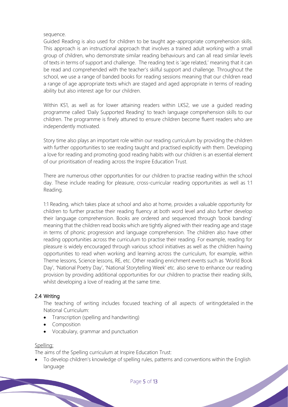## sequence.

Guided Reading is also used for children to be taught age-appropriate comprehension skills. This approach is an instructional approach that involves a trained adult working with a small group of children, who demonstrate similar reading behaviours and can all read similar levels of texts in terms of support and challenge. The reading text is 'age related,' meaning that it can be read and comprehended with the teacher's skilful support and challenge. Throughout the school, we use a range of banded books for reading sessions meaning that our children read a range of age appropriate texts which are staged and aged appropriate in terms of reading ability but also interest age for our children.

Within KS1, as well as for lower attaining readers within LKS2, we use a guided reading programme called 'Daily Supported Reading' to teach language comprehension skills to our children. The programme is finely attuned to ensure children become fluent readers who are independently motivated.

Story time also plays an important role within our reading curriculum by providing the children with further opportunities to see reading taught and practised explicitly with them. Developing a love for reading and promoting good reading habits with our children is an essential element of our prioritisation of reading across the Inspire Education Trust.

There are numerous other opportunities for our children to practise reading within the school day. These include reading for pleasure, cross-curricular reading opportunities as well as 1:1 Reading.

1:1 Reading, which takes place at school and also at home, provides a valuable opportunity for children to further practise their reading fluency at both word level and also further develop their language comprehension. Books are ordered and sequenced through 'book banding' meaning that the children read books which are tightly aligned with their reading age and stage in terms of phonic progression and language comprehension. The children also have other reading opportunities across the curriculum to practise their reading. For example, reading for pleasure is widely encouraged through various school initiatives as well as the children having opportunities to read when working and learning across the curriculum, for example, within Theme lessons, Science lessons, RE, etc. Other reading enrichment events such as 'World Book Day', 'National Poetry Day', 'National Storytelling Week' etc. also serve to enhance our reading provision by providing additional opportunities for our children to practise their reading skills, whilst developing a love of reading at the same time.

## 2.4 Writing

The teaching of writing includes focused teaching of all aspects of writingdetailed in the National Curriculum:

- Transcription (spelling and handwriting)
- Composition
- Vocabulary, grammar and punctuation

#### Spelling:

The aims of the Spelling curriculum at Inspire Education Trust:

• To develop children's knowledge of spelling rules, patterns and conventions within the English language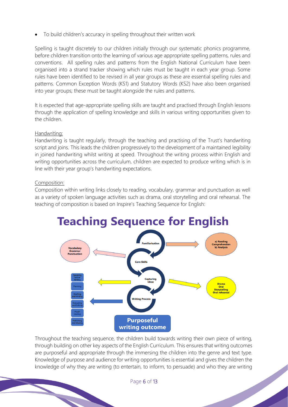• To build children's accuracy in spelling throughout their written work

Spelling is taught discretely to our children initially through our systematic phonics programme, before children transition onto the learning of various age appropriate spelling patterns, rules and conventions. All spelling rules and patterns from the English National Curriculum have been organised into a strand tracker showing which rules must be taught in each year group. Some rules have been identified to be revised in all year groups as these are essential spelling rules and patterns. Common Exception Words (KS1) and Statutory Words (KS2) have also been organised into year groups; these must be taught alongside the rules and patterns.

It is expected that age-appropriate spelling skills are taught and practised through English lessons through the application of spelling knowledge and skills in various writing opportunities given to the children.

## Handwriting:

Handwriting is taught regularly, through the teaching and practising of the Trust's handwriting script and joins. This leads the children progressively to the development of a maintained legibility in joined handwriting whilst writing at speed. Throughout the writing process within English and writing opportunities across the curriculum, children are expected to produce writing which is in line with their year group's handwriting expectations.

## Composition:

Composition within writing links closely to reading, vocabulary, grammar and punctuation as well as a variety of spoken language activities such as drama, oral storytelling and oral rehearsal. The teaching of composition is based on Inspire's Teaching Sequence for English:



Throughout the teaching sequence, the children build towards writing their own piece of writing, through building on other key aspects of the English Curriculum. This ensures that writing outcomes are purposeful and appropriate through the immersing the children into the genre and text type. Knowledge of purpose and audience for writing opportunities is essential and gives the children the knowledge of why they are writing (to entertain, to inform, to persuade) and who they are writing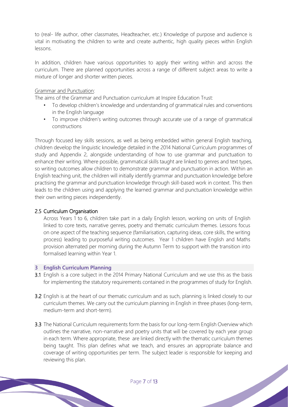to (real- life author, other classmates, Headteacher, etc.) Knowledge of purpose and audience is vital in motivating the children to write and create authentic, high quality pieces within English lessons.

In addition, children have various opportunities to apply their writing within and across the curriculum. There are planned opportunities across a range of different subject areas to write a mixture of longer and shorter written pieces.

## Grammar and Punctuation:

The aims of the Grammar and Punctuation curriculum at Inspire Education Trust:

- To develop children's knowledge and understanding of grammatical rules and conventions in the English language
- To improve children's writing outcomes through accurate use of a range of grammatical constructions

Through focused key skills sessions, as well as being embedded within general English teaching, children develop the linguistic knowledge detailed in the 2014 National Curriculum programmes of study and Appendix 2, alongside understanding of how to use grammar and punctuation to enhance their writing. Where possible, grammatical skills taught are linked to genres and text types, so writing outcomes allow children to demonstrate grammar and punctuation in action. Within an English teaching unit, the children will initially identify grammar and punctuation knowledge before practising the grammar and punctuation knowledge through skill-based work in context. This then leads to the children using and applying the learned grammar and punctuation knowledge within their own writing pieces independently.

## 2.5 Curriculum Organisation

Across Years 1 to 6, children take part in a daily English lesson, working on units of English linked to core texts, narrative genres, poetry and thematic curriculum themes. Lessons focus on one aspect of the teaching sequence (familiarisation, capturing ideas, core skills, the writing process) leading to purposeful writing outcomes. Year 1 children have English and Maths provision alternated per morning during the Autumn Term to support with the transition into formalised learning within Year 1.

#### **3 English Curriculum Planning**

- 3.1 English is a core subject in the 2014 Primary National Curriculum and we use this as the basis for implementing the statutory requirements contained in the programmes of study for English.
- 3.2 English is at the heart of our thematic curriculum and as such, planning is linked closely to our curriculum themes. We carry out the curriculum planning in English in three phases (long-term, medium-term and short-term).
- 3.3 The National Curriculum requirements form the basis for our long-term English Overview which outlines the narrative, non-narrative and poetry units that will be covered by each year group in each term. Where appropriate, these are linked directly with the thematic curriculum themes being taught. This plan defines what we teach, and ensures an appropriate balance and coverage of writing opportunities per term. The subject leader is responsible for keeping and reviewing this plan.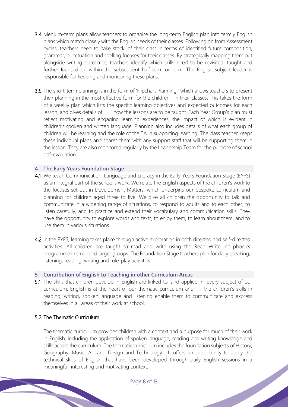- 3.4 Medium-term plans allow teachers to organise the long-term English plan into termly English plans which match closely with the English needs of their classes. Following on from Assessment cycles, teachers need to 'take stock' of their class in terms of identified future composition, grammar, punctuation and spelling focuses for their classes. By strategically mapping them out alongside writing outcomes, teachers identify which skills need to be revisited, taught and further focused on within the subsequent half term or term. The English subject leader is responsible for keeping and monitoring these plans.
- 3.5 The short-term planning is in the form of 'Flipchart Planning,' which allows teachers to present their planning in the most effective form for the children in their classes. This takes the form of a weekly plan which lists the specific learning objectives and expected outcomes for each lesson, and gives details of how the lessons are to be taught. Each Year Group's plan must reflect motivating and engaging learning experiences, the impact of which is evident in children's spoken and written language. Planning also includes details of what each group of children will be learning and the role of the TA in supporting learning. The class teacher keeps these individual plans and shares them with any support staff that will be supporting them in the lesson. They are also monitored regularly by the Leadership Team for the purpose of school self-evaluation.

#### **4 The Early Years Foundation Stage**

- 4.1 We teach Communication, Language and Literacy in the Early Years Foundation Stage (EYFS) as an integral part of the school's work. We relate the English aspects of the children's work to the focuses set out in Development Matters, which underpins our bespoke curriculum and planning for children aged three to five. We give all children the opportunity to talk and communicate in a widening range of situations, to respond to adults and to each other, to listen carefully, and to practice and extend their vocabulary and communication skills. They have the opportunity to explore words and texts, to enjoy them, to learn about them, and to use them in various situations.
- 4.2 In the EYFS, learning takes place through active exploration in both directed and self-directed activities. All children are taught to read and write using the Read Write Inc phonics programme in small and larger groups. The Foundation Stage teachers plan for daily speaking, listening, reading, writing and role-play activities.

#### **5 Contribution of English to Teaching in other Curriculum Areas**

5.1 The skills that children develop in English are linked to, and applied in, every subject of our curriculum. English is at the heart of our thematic curriculum and the children's skills in reading, writing, spoken language and listening enable them to communicate and express themselves in all areas of their work at school.

## 5.2 The Thematic Curriculum

The thematic curriculum provides children with a context and a purpose for much of their work in English, including the application of spoken language, reading and writing knowledge and skills across the curriculum. The thematic curriculum includes the foundation subjects of History, Geography, Music, Art and Design and Technology. It offers an opportunity to apply the technical skills of English that have been developed through daily English sessions in a meaningful, interesting and motivating context.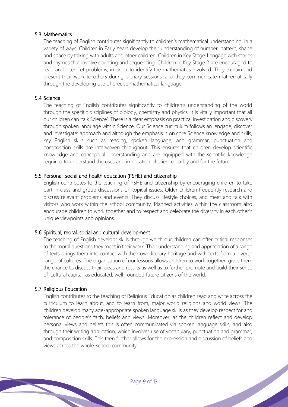## 5.3 Mathematics

The teaching of English contributes significantly to children's mathematical understanding, in a variety of ways. Children in Early Years develop their understanding of number, pattern, shape and space by talking with adults and other children. Children in Key Stage 1 engage with stories and rhymes that involve counting and sequencing. Children in Key Stage 2 are encouraged to read and interpret problems, in order to identify the mathematics involved. They explain and present their work to others during plenary sessions, and they communicate mathematically through the developing use of precise mathematical language.

## 5.4 Science

The teaching of English contributes significantly to children's understanding of the world through the specific disciplines of biology, chemistry and physics. It is vitally important that all our children can 'talk Science'. There is a clear emphasis on practical investigation and discovery through spoken language within Science. Our Science curriculum follows an 'engage, discover and investigate' approach and although the emphasis is on core Science knowledge and skills, key English skills such as reading, spoken language, and grammar, punctuation and composition skills are interwoven throughout. This ensures that children develop scientific knowledge and conceptual understanding and are equipped with the scientific knowledge required to understand the uses and implication of science, today and for the future.

## 5.5 Personal, social and health education (PSHE) and citizenship

English contributes to the teaching of PSHE and citizenship by encouraging children to take part in class and group discussions on topical issues. Older children frequently research and discuss relevant problems and events. They discuss lifestyle choices, and meet and talk with visitors who work within the school community. Planned activities within the classroom also encourage children to work together and to respect and celebrate the diversity in each other's unique viewpoints and opinions.

## 5.6 Spiritual, moral, social and cultural development

The teaching of English develops skills through which our children can offer critical responses to the moral questions they meet in their work. Their understanding and appreciation of a range of texts brings them into contact with their own literary heritage and with texts from a diverse range of cultures. The organisation of our lessons allows children to work together, gives them the chance to discuss their ideas and results as well as to further promote and build their sense of 'cultural capital' as educated, well-rounded future citizens of the world.

#### 5.7 Religious Education

English contributes to the teaching of Religious Education as children read and write across the curriculum to learn about, and to learn from, major world religions and world views. The children develop many age-appropriate spoken language skills as they develop respect for and tolerance of people's faith, beliefs and views. Moreover, as the children reflect and develop personal views and beliefs this is often communicated via spoken language skills, and also through their writing application, which involves use of vocabulary, punctuation and grammar, and composition skills. This then further allows for the expression and discussion of beliefs and views across the whole-school community.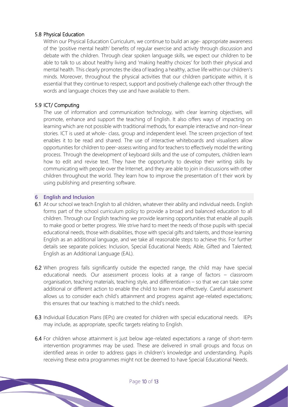## 5.8 Physical Education

Within our Physical Education Curriculum, we continue to build an age- appropriate awareness of the 'positive mental health' benefits of regular exercise and activity through discussion and debate with the children. Through clear spoken language skills, we expect our children to be able to talk to us about healthy living and 'making healthy choices' for both their physical and mental health. This clearly promotes the idea of leading a healthy, active life within our children's minds. Moreover, throughout the physical activities that our children participate within, it is essential that they continue to respect, support and positively challenge each other through the words and language choices they use and have available to them.

## 5.9 ICT/ Computing

The use of information and communication technology, with clear learning objectives, will promote, enhance and support the teaching of English. It also offers ways of impacting on learning which are not possible with traditional methods, for example interactive and non-linear stories. ICT is used at whole- class, group and independent level. The screen projection of text enables it to be read and shared. The use of interactive whiteboards and visualisers allow opportunities for children to peer-assess writing and for teachers to effectively model the writing process. Through the development of keyboard skills and the use of computers, children learn how to edit and revise text. They have the opportunity to develop their writing skills by communicating with people over the Internet, and they are able to join in discussions with other children throughout the world. They learn how to improve the presentation of t their work by using publishing and presenting software.

#### **6 English and Inclusion**

- 6.1 At our school we teach English to all children, whatever their ability and individual needs. English forms part of the school curriculum policy to provide a broad and balanced education to all children. Through our English teaching we provide learning opportunities that enable all pupils to make good or better progress. We strive hard to meet the needs of those pupils with special educational needs, those with disabilities, those with special gifts and talents, and those learning English as an additional language, and we take all reasonable steps to achieve this. For further details see separate policies: Inclusion, Special Educational Needs; Able, Gifted and Talented; English as an Additional Language (EAL).
- 6.2 When progress falls significantly outside the expected range, the child may have special educational needs. Our assessment process looks at a range of factors – classroom organisation, teaching materials, teaching style, and differentiation – so that we can take some additional or different action to enable the child to learn more effectively. Careful assessment allows us to consider each child's attainment and progress against age-related expectations; this ensures that our teaching is matched to the child's needs.
- 6.3 Individual Education Plans (IEPs) are created for children with special educational needs. IEPs may include, as appropriate, specific targets relating to English.
- 6.4 For children whose attainment is just below age-related expectations a range of short-term intervention programmes may be used. These are delivered in small groups and focus on identified areas in order to address gaps in children's knowledge and understanding. Pupils receiving these extra programmes might not be deemed to have Special Educational Needs.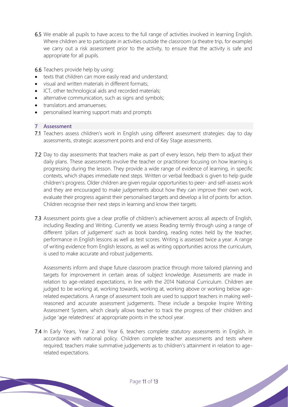6.5 We enable all pupils to have access to the full range of activities involved in learning English. Where children are to participate in activities outside the classroom (a theatre trip, for example) we carry out a risk assessment prior to the activity, to ensure that the activity is safe and appropriate for all pupils.

6.6 Teachers provide help by using:

- texts that children can more easily read and understand;
- visual and written materials in different formats;
- ICT, other technological aids and recorded materials;
- alternative communication, such as signs and symbols;
- translators and amanuenses;
- personalised learning support mats and prompts

## **7 Assessment**

- 7.1 Teachers assess children's work in English using different assessment strategies: day to day assessments, strategic assessment points and end of Key Stage assessments.
- 7.2 Day to day assessments that teachers make as part of every lesson, help them to adjust their daily plans. These assessments involve the teacher or practitioner focusing on how learning is progressing during the lesson. They provide a wide range of evidence of learning, in specific contexts, which shapes immediate next steps. Written or verbal feedback is given to help guide children's progress. Older children are given regular opportunities to peer- and self-assess work and they are encouraged to make judgements about how they can improve their own work, evaluate their progress against their personalised targets and develop a list of points for action. Children recognise their next steps in learning and know their targets.
- 7.3 Assessment points give a clear profile of children's achievement across all aspects of English, including Reading and Writing. Currently we assess Reading termly through using a range of different 'pillars of judgement' such as book banding, reading notes held by the teacher, performance in English lessons as well as test scores. Writing is assessed twice a year. A range of writing evidence from English lessons, as well as writing opportunities across the curriculum, is used to make accurate and robust judgements.

Assessments inform and shape future classroom practice through more tailored planning and targets for improvement in certain areas of subject knowledge. Assessments are made in relation to age-related expectations, in line with the 2014 National Curriculum. Children are judged to be working at, working towards, working at, working above or working below agerelated expectations. A range of assessment tools are used to support teachers in making wellreasoned and accurate assessment judgements. These include a bespoke Inspire Writing Assessment System, which clearly allows teacher to track the progress of their children and judge 'age relatedness' at appropriate points in the school year.

7.4 In Early Years, Year 2 and Year 6, teachers complete statutory assessments in English, in accordance with national policy. Children complete teacher assessments and tests where required; teachers make summative judgements as to children's attainment in relation to agerelated expectations.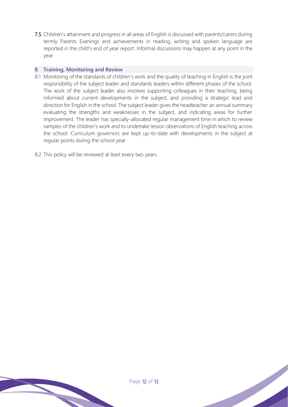7.5 Children's attainment and progress in all areas of English is discussed with parents/carers during termly Parents Evenings and achievements in reading, writing and spoken language are reported in the child's end of year report. Informal discussions may happen at any point in the year.

## **8 Training, Monitoring and Review**

- 8.1 Monitoring of the standards of children's work and the quality of teaching in English is the joint responsibility of the subject leader and standards leaders within different phases of the school. The work of the subject leader also involves supporting colleagues in their teaching, being informed about current developments in the subject, and providing a strategic lead and direction for English in the school. The subject leader gives the headteacher an annual summary evaluating the strengths and weaknesses in the subject, and indicating areas for further improvement. The leader has specially-allocated regular management time in which to review samples of the children's work and to undertake lesson observations of English teaching across the school. Curriculum governors are kept up-to-date with developments in the subject at regular points during the school year.
- 8.2 This policy will be reviewed at least every two years.